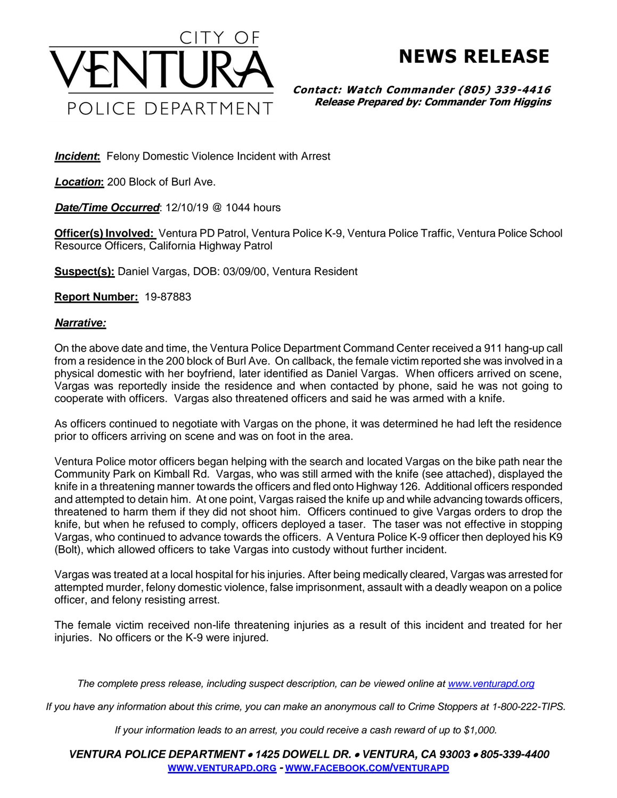

## **NEWS RELEASE**

**Contact: Watch Commander (805) 339-4416 Release Prepared by: Commander Tom Higgins**

**Incident:** Felony Domestic Violence Incident with Arrest

*Location***:** 200 Block of Burl Ave.

*Date/Time Occurred*: 12/10/19 @ 1044 hours

**Officer(s) Involved:** Ventura PD Patrol, Ventura Police K-9, Ventura Police Traffic, Ventura Police School Resource Officers, California Highway Patrol

**Suspect(s):** Daniel Vargas, DOB: 03/09/00, Ventura Resident

**Report Number:** 19-87883

## *Narrative:*

On the above date and time, the Ventura Police Department Command Center received a 911 hang-up call from a residence in the 200 block of Burl Ave. On callback, the female victim reported she was involved in a physical domestic with her boyfriend, later identified as Daniel Vargas. When officers arrived on scene, Vargas was reportedly inside the residence and when contacted by phone, said he was not going to cooperate with officers. Vargas also threatened officers and said he was armed with a knife.

As officers continued to negotiate with Vargas on the phone, it was determined he had left the residence prior to officers arriving on scene and was on foot in the area.

Ventura Police motor officers began helping with the search and located Vargas on the bike path near the Community Park on Kimball Rd. Vargas, who was still armed with the knife (see attached), displayed the knife in a threatening manner towards the officers and fled onto Highway 126. Additional officers responded and attempted to detain him. At one point, Vargas raised the knife up and while advancing towards officers, threatened to harm them if they did not shoot him. Officers continued to give Vargas orders to drop the knife, but when he refused to comply, officers deployed a taser. The taser was not effective in stopping Vargas, who continued to advance towards the officers. A Ventura Police K-9 officer then deployed his K9 (Bolt), which allowed officers to take Vargas into custody without further incident.

Vargas was treated at a local hospital for his injuries. After being medically cleared, Vargas was arrested for attempted murder, felony domestic violence, false imprisonment, assault with a deadly weapon on a police officer, and felony resisting arrest.

The female victim received non-life threatening injuries as a result of this incident and treated for her injuries. No officers or the K-9 were injured.

*The complete press release, including suspect description, can be viewed online at [www.venturapd.org](http://www.venturapd.org/)*

*If you have any information about this crime, you can make an anonymous call to Crime Stoppers at 1-800-222-TIPS.*

*If your information leads to an arrest, you could receive a cash reward of up to \$1,000.*

*VENTURA POLICE DEPARTMENT 1425 DOWELL DR. VENTURA, CA 93003 805-339-4400* **WWW.[VENTURAPD](http://www.venturapd.org/).ORG** *-* **WWW.FACEBOOK.COM/[VENTURAPD](http://www.facebook.com/venturapd)**